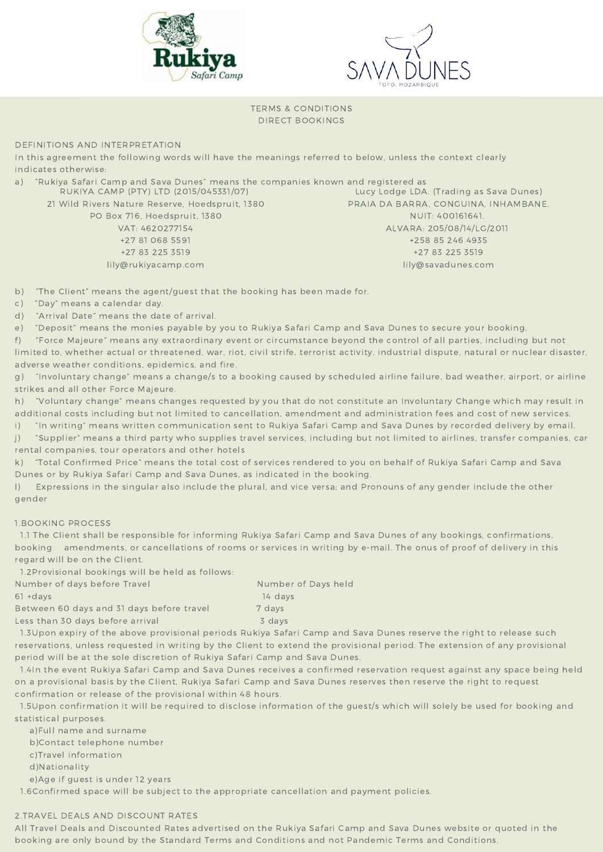



TERMS & CONDITIONS DIRECT BOOKINGS

DEFINITIONS AND INTERPRETATION

In this agreement the following words will have the meanings referred to below, unless the context clearly indicates otherwise:

| a) | "Rukiya Safari Camp and Sava Dunes" means the companies known and registered as |                                         |
|----|---------------------------------------------------------------------------------|-----------------------------------------|
|    | RUKIYA CAMP (PTY) LTD (2015/045331/07)                                          | Lucy Lodge LDA. (Trading as Sava Dunes) |
|    | 21 Wild Rivers Nature Reserve, Hoedspruit, 1380                                 | PRAIA DA BARRA, CONGUINA, INHAMBANE.    |
|    | PO Box 716, Hoedspruit, 1380                                                    | NUIT: 400161641.                        |
|    | VAT: 4620277154                                                                 | ALVARA: 205/08/14/LG/2011               |
|    | +27 81 068 5591                                                                 | +258 85 246 4935                        |
|    | +27 83 225 3519                                                                 | +27 83 225 3519                         |
|    | lily@rukiyacamp.com                                                             | lily@savadunes.com                      |
|    |                                                                                 |                                         |

b) "The Client" means the agent/guest that the booking has been made for.

c) "Day" means a calendar day.

d) "Arrival Date" means the date of arrival.

e) "Deposit" means the monies payable by you to Rukiya Safari Camp and Sava Dunes to secure your booking.

f) "Force Majeure" means any extraordinary event or circumstance beyond the control of all parties, including but not limited to, whether actual or threatened, war, riot, civil strife, terrorist activity, industrial dispute, natural or nuclear disaster, adverse weather conditions, epidemics, and fire.

g) "Involuntary change" means a change/s to a booking caused by scheduled airline failure, bad weather, airport, or airline strikes and all other Force Majeure.

h) "Voluntary change" means changes requested by you that do not constitute an Involuntary Change which may result in additional costs including but not limited to cancellation, amendment and administration fees and cost of new services.

i) "In writing" means written communication sent to Rukiya Safari Camp and Sava Dunes by recorded delivery by email. j) "Supplier" means a third party who supplies travel services, including but not limited to airlines, transfer companies, car

rental companies, tour operators and other hotels

k) "Total Confirmed Price" means the total cost of services rendered to you on behalf of Rukiya Safari Camp and Sava Dunes or by Rukiya Safari Camp and Sava Dunes, as indicated in the booking.

l) Expressions in the singular also include the plural, and vice versa; and Pronouns of any gender include the other gender

# 1.BOOKING PROCESS

1.1 The Client shall be responsible for informing Rukiya Safari Camp and Sava Dunes of any bookings, confirmations, booking amendments, or cancellations of rooms or services in writing by e-mail. The onus of proof of delivery in this regard will be on the Client.

1.2Provisional bookings will be held as follows:

| Number of days before Travel              | Number of Days held |
|-------------------------------------------|---------------------|
| $61 + days$                               | 14 davs             |
| Between 60 days and 31 days before travel | 7 days              |
| Less than 30 days before arrival          | 3 days              |

1.3Upon expiry of the above provisional periods Rukiya Safari Camp and Sava Dunes reserve the right to release such reservations, unless requested in writing by the Client to extend the provisional period. The extension of any provisional period will be at the sole discretion of Rukiya Safari Camp and Sava Dunes.

1.4In the event Rukiya Safari Camp and Sava Dunes receives a confirmed reservation request against any space being held on a provisional basis by the Client, Rukiya Safari Camp and Sava Dunes reserves then reserve the right to request confirmation or release of the provisional within 48 hours.

1.5Upon confirmation it will be required to disclose information of the guest/s which will solely be used for booking and statistical purposes.

a)Full name and surname

b)Contact telephone number

c)Travel information

d)Nationality

e)Age if guest is under 12 years

1.6Confirmed space will be subject to the appropriate cancellation and payment policies.

# 2.TRAVEL DEALS AND DISCOUNT RATES

All Travel Deals and Discounted Rates advertised on the Rukiya Safari Camp and Sava Dunes website or quoted in the booking are only bound by the Standard Terms and Conditions and not Pandemic Terms and Conditions.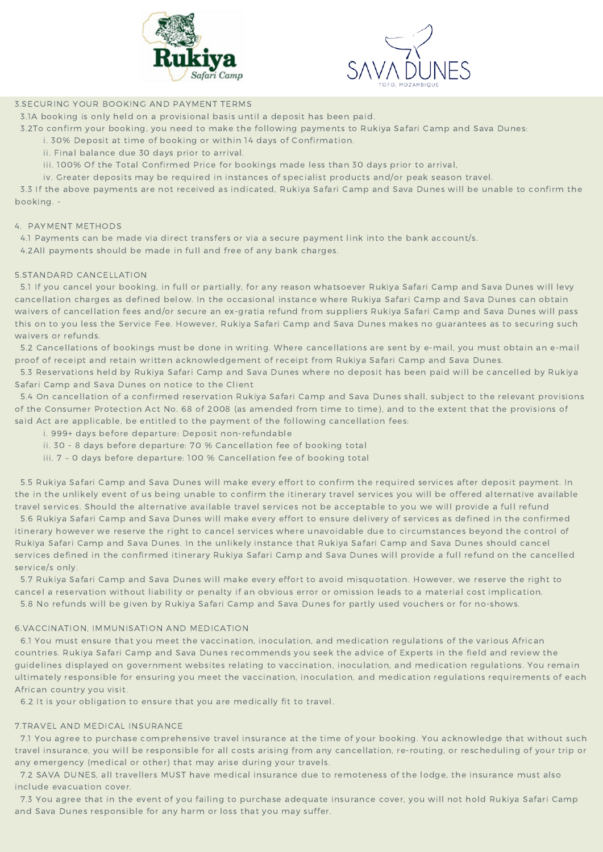



## 3.SECURING YOUR BOOKING AND PAYMENT TERMS

3.1A booking is only held on a provisional basis until a deposit has been paid.

- 3.2To confirm your booking, you need to make the following payments to Rukiya Safari Camp and Sava Dunes:
	- i. 30% Deposit at time of booking or within 14 days of Confirmation.
	- ii. Final balance due 30 days prior to arrival.
	- iii. 100% Of the Total Confirmed Price for bookings made less than 30 days prior to arrival,
	- iv. Greater deposits may be required in instances of specialist products and/or peak season travel.

3.3 If the above payments are not received as indicated, Rukiya Safari Camp and Sava Dunes will be unable to confirm the booking. -

#### 4. PAYMENT METHODS

- 4.1 Payments can be made via direct transfers or via a secure payment link into the bank account/s.
- 4.2All payments should be made in full and free of any bank charges.

#### 5.STANDARD CANCELLATION

5.1 If you cancel your booking, in full or partially, for any reason whatsoever Rukiya Safari Camp and Sava Dunes will levy cancellation charges as defined below. In the occasional instance where Rukiya Safari Camp and Sava Dunes can obtain waivers of cancellation fees and/or secure an ex-gratia refund from suppliers Rukiya Safari Camp and Sava Dunes will pass this on to you less the Service Fee. However, Rukiya Safari Camp and Sava Dunes makes no guarantees as to securing such waivers or refunds.

5.2 Cancellations of bookings must be done in writing. Where cancellations are sent by e-mail, you must obtain an e-mail proof of receipt and retain written acknowledgement of receipt from Rukiya Safari Camp and Sava Dunes.

5.3 Reservations held by Rukiya Safari Camp and Sava Dunes where no deposit has been paid will be cancelled by Rukiya Safari Camp and Sava Dunes on notice to the Client

5.4 On cancellation of a confirmed reservation Rukiya Safari Camp and Sava Dunes shall, subject to the relevant provisions of the Consumer Protection Act No. 68 of 2008 (as amended from time to time), and to the extent that the provisions of said Act are applicable, be entitled to the payment of the following cancellation fees:

- i. 999+ days before departure: Deposit non-refundable
- ii. 30 8 days before departure: 70 % Cancellation fee of booking total
- iii. 7 0 days before departure: 100 % Cancellation fee of booking total

5.5 Rukiya Safari Camp and Sava Dunes will make every effort to confirm the required services after deposit payment. In the in the unlikely event of us being unable to confirm the itinerary travel services you will be offered alternative available travel services. Should the alternative available travel services not be acceptable to you we will provide a full refund

5.6 Rukiya Safari Camp and Sava Dunes will make every effort to ensure delivery of services as defined in the confirmed itinerary however we reserve the right to cancel services where unavoidable due to circumstances beyond the control of Rukiya Safari Camp and Sava Dunes. In the unlikely instance that Rukiya Safari Camp and Sava Dunes should cancel services defined in the confirmed itinerary Rukiya Safari Camp and Sava Dunes will provide a full refund on the cancelled service/s only.

5.7 Rukiya Safari Camp and Sava Dunes will make every effort to avoid misquotation. However, we reserve the right to cancel a reservation without liability or penalty if an obvious error or omission leads to a material cost implication. 5.8 No refunds will be given by Rukiya Safari Camp and Sava Dunes for partly used vouchers or for no-shows.

#### 6.VACCINATION, IMMUNISATION AND MEDICATION

6.1 You must ensure that you meet the vaccination, inoculation, and medication regulations of the various African countries. Rukiya Safari Camp and Sava Dunes recommends you seek the advice of Experts in the field and review the guidelines displayed on government websites relating to vaccination, inoculation, and medication regulations. You remain ultimately responsible for ensuring you meet the vaccination, inoculation, and medication regulations requirements of each African country you visit.

6.2 It is your obligation to ensure that you are medically fit to travel.

## 7.TRAVEL AND MEDICAL INSURANCE

7.1 You agree to purchase comprehensive travel insurance at the time of your booking. You acknowledge that without such travel insurance, you will be responsible for all costs arising from any cancellation, re-routing, or rescheduling of your trip or any emergency (medical or other) that may arise during your travels.

7.2 SAVA DUNES, all travellers MUST have medical insurance due to remoteness of the lodge, the insurance must also include evacuation cover.

7.3 You agree that in the event of you failing to purchase adequate insurance cover, you will not hold Rukiya Safari Camp and Sava Dunes responsible for any harm or loss that you may suffer.